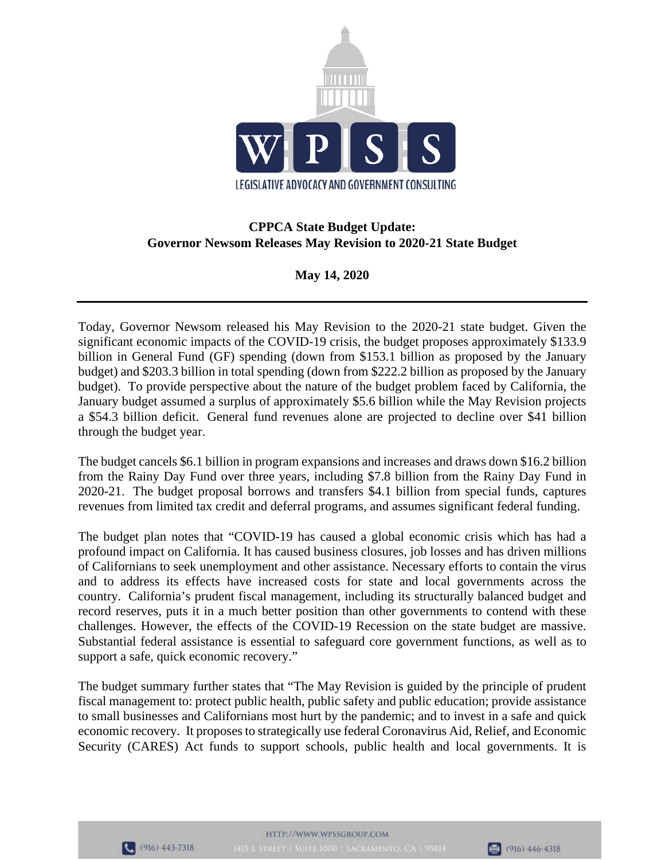

# **CPPCA State Budget Update: Governor Newsom Releases May Revision to 2020-21 State Budget**

## **May 14, 2020**

Today, Governor Newsom released his May Revision to the 2020-21 state budget. Given the significant economic impacts of the COVID-19 crisis, the budget proposes approximately \$133.9 billion in General Fund (GF) spending (down from \$153.1 billion as proposed by the January budget) and \$203.3 billion in total spending (down from \$222.2 billion as proposed by the January budget). To provide perspective about the nature of the budget problem faced by California, the January budget assumed a surplus of approximately \$5.6 billion while the May Revision projects a \$54.3 billion deficit. General fund revenues alone are projected to decline over \$41 billion through the budget year.

The budget cancels \$6.1 billion in program expansions and increases and draws down \$16.2 billion from the Rainy Day Fund over three years, including \$7.8 billion from the Rainy Day Fund in 2020-21. The budget proposal borrows and transfers \$4.1 billion from special funds, captures revenues from limited tax credit and deferral programs, and assumes significant federal funding.

The budget plan notes that "COVID-19 has caused a global economic crisis which has had a profound impact on California. It has caused business closures, job losses and has driven millions of Californians to seek unemployment and other assistance. Necessary efforts to contain the virus and to address its effects have increased costs for state and local governments across the country. California's prudent fiscal management, including its structurally balanced budget and record reserves, puts it in a much better position than other governments to contend with these challenges. However, the effects of the COVID-19 Recession on the state budget are massive. Substantial federal assistance is essential to safeguard core government functions, as well as to support a safe, quick economic recovery."

The budget summary further states that "The May Revision is guided by the principle of prudent fiscal management to: protect public health, public safety and public education; provide assistance to small businesses and Californians most hurt by the pandemic; and to invest in a safe and quick economic recovery. It proposes to strategically use federal Coronavirus Aid, Relief, and Economic Security (CARES) Act funds to support schools, public health and local governments. It is



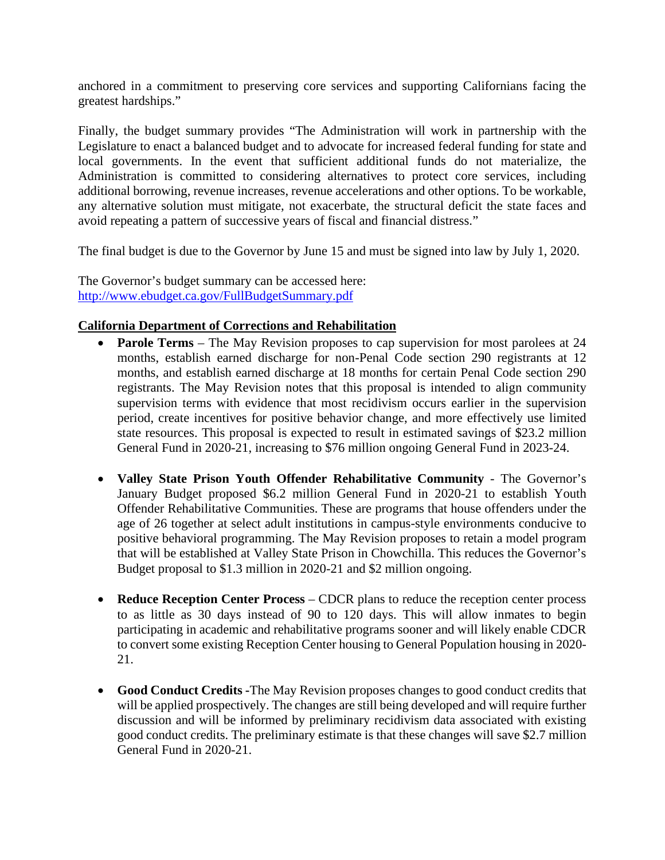anchored in a commitment to preserving core services and supporting Californians facing the greatest hardships."

Finally, the budget summary provides "The Administration will work in partnership with the Legislature to enact a balanced budget and to advocate for increased federal funding for state and local governments. In the event that sufficient additional funds do not materialize, the Administration is committed to considering alternatives to protect core services, including additional borrowing, revenue increases, revenue accelerations and other options. To be workable, any alternative solution must mitigate, not exacerbate, the structural deficit the state faces and avoid repeating a pattern of successive years of fiscal and financial distress."

The final budget is due to the Governor by June 15 and must be signed into law by July 1, 2020.

The Governor's budget summary can be accessed here: http://www.ebudget.ca.gov/FullBudgetSummary.pdf

#### **California Department of Corrections and Rehabilitation**

- **Parole Terms** The May Revision proposes to cap supervision for most parolees at 24 months, establish earned discharge for non-Penal Code section 290 registrants at 12 months, and establish earned discharge at 18 months for certain Penal Code section 290 registrants. The May Revision notes that this proposal is intended to align community supervision terms with evidence that most recidivism occurs earlier in the supervision period, create incentives for positive behavior change, and more effectively use limited state resources. This proposal is expected to result in estimated savings of \$23.2 million General Fund in 2020-21, increasing to \$76 million ongoing General Fund in 2023-24.
- **Valley State Prison Youth Offender Rehabilitative Community** The Governor's January Budget proposed \$6.2 million General Fund in 2020-21 to establish Youth Offender Rehabilitative Communities. These are programs that house offenders under the age of 26 together at select adult institutions in campus-style environments conducive to positive behavioral programming. The May Revision proposes to retain a model program that will be established at Valley State Prison in Chowchilla. This reduces the Governor's Budget proposal to \$1.3 million in 2020-21 and \$2 million ongoing.
- **Reduce Reception Center Process** CDCR plans to reduce the reception center process to as little as 30 days instead of 90 to 120 days. This will allow inmates to begin participating in academic and rehabilitative programs sooner and will likely enable CDCR to convert some existing Reception Center housing to General Population housing in 2020- 21.
- **Good Conduct Credits -**The May Revision proposes changes to good conduct credits that will be applied prospectively. The changes are still being developed and will require further discussion and will be informed by preliminary recidivism data associated with existing good conduct credits. The preliminary estimate is that these changes will save \$2.7 million General Fund in 2020-21.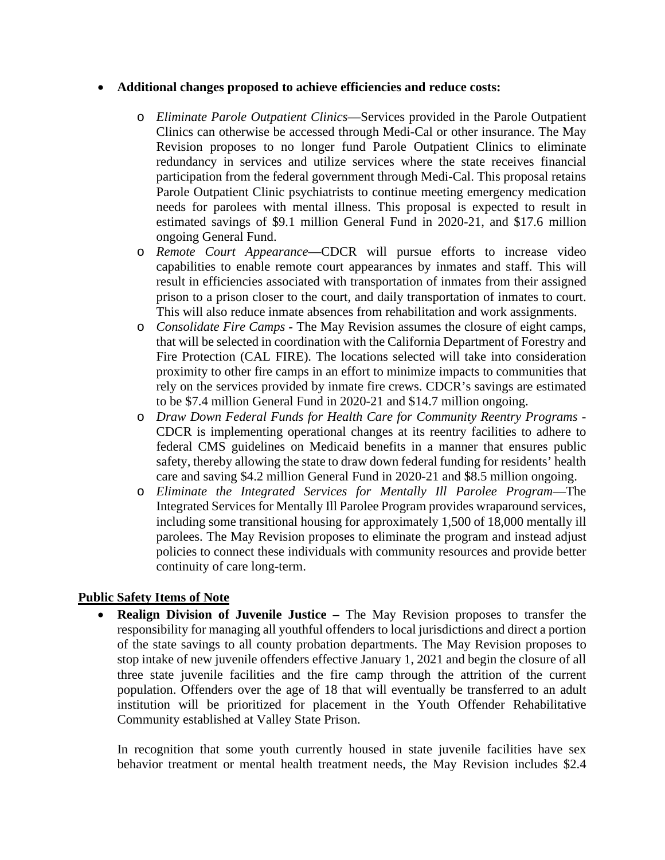#### • **Additional changes proposed to achieve efficiencies and reduce costs:**

- o *Eliminate Parole Outpatient Clinics*—Services provided in the Parole Outpatient Clinics can otherwise be accessed through Medi-Cal or other insurance. The May Revision proposes to no longer fund Parole Outpatient Clinics to eliminate redundancy in services and utilize services where the state receives financial participation from the federal government through Medi-Cal. This proposal retains Parole Outpatient Clinic psychiatrists to continue meeting emergency medication needs for parolees with mental illness. This proposal is expected to result in estimated savings of \$9.1 million General Fund in 2020-21, and \$17.6 million ongoing General Fund.
- o *Remote Court Appearance*—CDCR will pursue efforts to increase video capabilities to enable remote court appearances by inmates and staff. This will result in efficiencies associated with transportation of inmates from their assigned prison to a prison closer to the court, and daily transportation of inmates to court. This will also reduce inmate absences from rehabilitation and work assignments.
- o *Consolidate Fire Camps -* The May Revision assumes the closure of eight camps, that will be selected in coordination with the California Department of Forestry and Fire Protection (CAL FIRE). The locations selected will take into consideration proximity to other fire camps in an effort to minimize impacts to communities that rely on the services provided by inmate fire crews. CDCR's savings are estimated to be \$7.4 million General Fund in 2020-21 and \$14.7 million ongoing.
- o *Draw Down Federal Funds for Health Care for Community Reentry Programs* CDCR is implementing operational changes at its reentry facilities to adhere to federal CMS guidelines on Medicaid benefits in a manner that ensures public safety, thereby allowing the state to draw down federal funding for residents' health care and saving \$4.2 million General Fund in 2020-21 and \$8.5 million ongoing.
- o *Eliminate the Integrated Services for Mentally Ill Parolee Program*—The Integrated Services for Mentally Ill Parolee Program provides wraparound services, including some transitional housing for approximately 1,500 of 18,000 mentally ill parolees. The May Revision proposes to eliminate the program and instead adjust policies to connect these individuals with community resources and provide better continuity of care long-term.

### **Public Safety Items of Note**

• **Realign Division of Juvenile Justice –** The May Revision proposes to transfer the responsibility for managing all youthful offenders to local jurisdictions and direct a portion of the state savings to all county probation departments. The May Revision proposes to stop intake of new juvenile offenders effective January 1, 2021 and begin the closure of all three state juvenile facilities and the fire camp through the attrition of the current population. Offenders over the age of 18 that will eventually be transferred to an adult institution will be prioritized for placement in the Youth Offender Rehabilitative Community established at Valley State Prison.

In recognition that some youth currently housed in state juvenile facilities have sex behavior treatment or mental health treatment needs, the May Revision includes \$2.4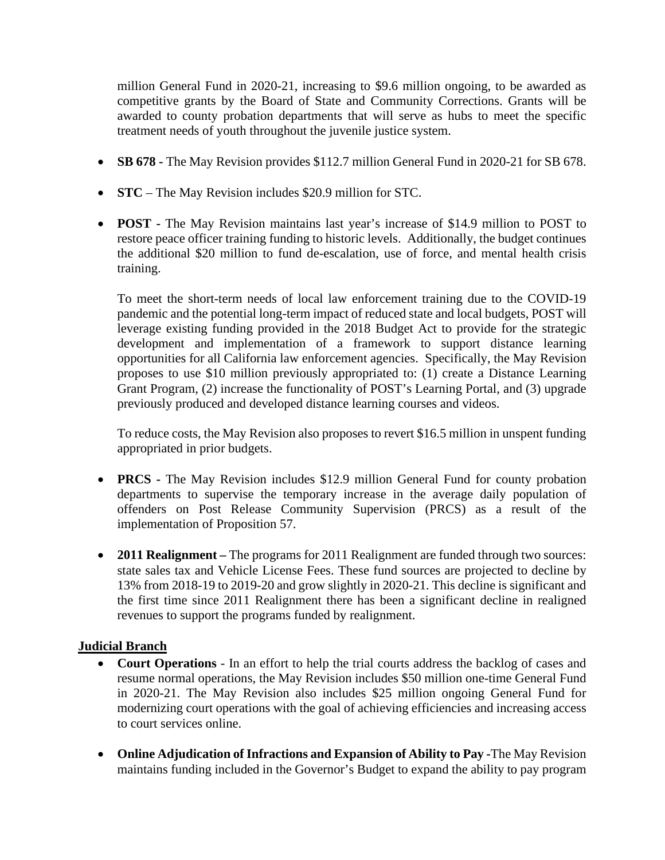million General Fund in 2020-21, increasing to \$9.6 million ongoing, to be awarded as competitive grants by the Board of State and Community Corrections. Grants will be awarded to county probation departments that will serve as hubs to meet the specific treatment needs of youth throughout the juvenile justice system.

- **SB 678** The May Revision provides \$112.7 million General Fund in 2020-21 for SB 678.
- **STC** The May Revision includes \$20.9 million for STC.
- **POST -** The May Revision maintains last year's increase of \$14.9 million to POST to restore peace officer training funding to historic levels. Additionally, the budget continues the additional \$20 million to fund de-escalation, use of force, and mental health crisis training.

To meet the short-term needs of local law enforcement training due to the COVID-19 pandemic and the potential long-term impact of reduced state and local budgets, POST will leverage existing funding provided in the 2018 Budget Act to provide for the strategic development and implementation of a framework to support distance learning opportunities for all California law enforcement agencies. Specifically, the May Revision proposes to use \$10 million previously appropriated to: (1) create a Distance Learning Grant Program, (2) increase the functionality of POST's Learning Portal, and (3) upgrade previously produced and developed distance learning courses and videos.

To reduce costs, the May Revision also proposes to revert \$16.5 million in unspent funding appropriated in prior budgets.

- **PRCS** The May Revision includes \$12.9 million General Fund for county probation departments to supervise the temporary increase in the average daily population of offenders on Post Release Community Supervision (PRCS) as a result of the implementation of Proposition 57.
- **2011 Realignment** The programs for 2011 Realignment are funded through two sources: state sales tax and Vehicle License Fees. These fund sources are projected to decline by 13% from 2018-19 to 2019-20 and grow slightly in 2020-21. This decline is significant and the first time since 2011 Realignment there has been a significant decline in realigned revenues to support the programs funded by realignment.

### **Judicial Branch**

- **Court Operations** In an effort to help the trial courts address the backlog of cases and resume normal operations, the May Revision includes \$50 million one-time General Fund in 2020-21. The May Revision also includes \$25 million ongoing General Fund for modernizing court operations with the goal of achieving efficiencies and increasing access to court services online.
- **Online Adjudication of Infractions and Expansion of Ability to Pay -**The May Revision maintains funding included in the Governor's Budget to expand the ability to pay program